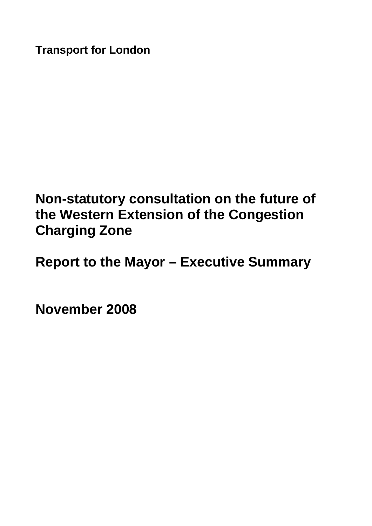**Transport for London** 

# **Non-statutory consultation on the future of the Western Extension of the Congestion Charging Zone**

**Report to the Mayor – Executive Summary** 

**November 2008**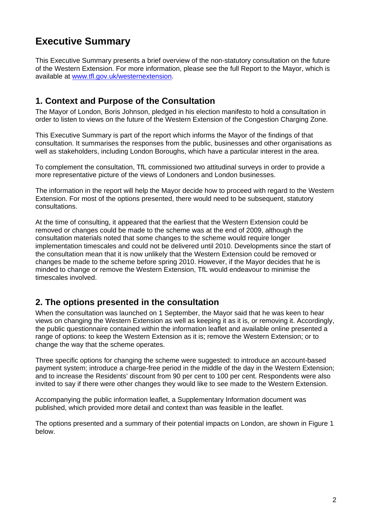## **Executive Summary**

This Executive Summary presents a brief overview of the non-statutory consultation on the future of the Western Extension. For more information, please see the full Report to the Mayor, which is available at [www.tfl.gov.uk/westernextension.](http://www.tfl.gov.uk/westernextension)

## **1. Context and Purpose of the Consultation**

The Mayor of London, Boris Johnson, pledged in his election manifesto to hold a consultation in order to listen to views on the future of the Western Extension of the Congestion Charging Zone.

This Executive Summary is part of the report which informs the Mayor of the findings of that consultation. It summarises the responses from the public, businesses and other organisations as well as stakeholders, including London Boroughs, which have a particular interest in the area.

To complement the consultation, TfL commissioned two attitudinal surveys in order to provide a more representative picture of the views of Londoners and London businesses.

The information in the report will help the Mayor decide how to proceed with regard to the Western Extension. For most of the options presented, there would need to be subsequent, statutory consultations.

At the time of consulting, it appeared that the earliest that the Western Extension could be removed or changes could be made to the scheme was at the end of 2009, although the consultation materials noted that some changes to the scheme would require longer implementation timescales and could not be delivered until 2010. Developments since the start of the consultation mean that it is now unlikely that the Western Extension could be removed or changes be made to the scheme before spring 2010. However, if the Mayor decides that he is minded to change or remove the Western Extension, TfL would endeavour to minimise the timescales involved.

## **2. The options presented in the consultation**

When the consultation was launched on 1 September, the Mayor said that he was keen to hear views on changing the Western Extension as well as keeping it as it is, or removing it. Accordingly, the public questionnaire contained within the information leaflet and available online presented a range of options: to keep the Western Extension as it is; remove the Western Extension; or to change the way that the scheme operates.

Three specific options for changing the scheme were suggested: to introduce an account-based payment system; introduce a charge-free period in the middle of the day in the Western Extension; and to increase the Residents' discount from 90 per cent to 100 per cent. Respondents were also invited to say if there were other changes they would like to see made to the Western Extension.

Accompanying the public information leaflet, a Supplementary Information document was published, which provided more detail and context than was feasible in the leaflet.

The options presented and a summary of their potential impacts on London, are shown in Figure 1 below.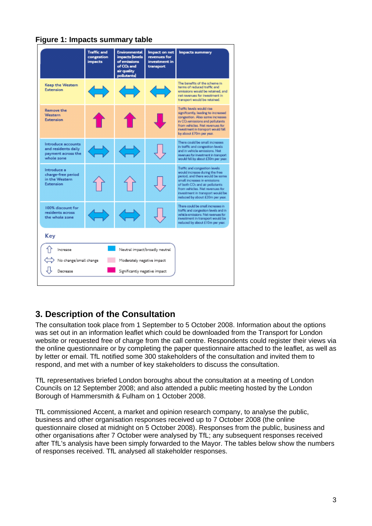#### **Figure 1: Impacts summary table**



## **3. Description of the Consultation**

The consultation took place from 1 September to 5 October 2008. Information about the options was set out in an information leaflet which could be downloaded from the Transport for London website or requested free of charge from the call centre. Respondents could register their views via the online questionnaire or by completing the paper questionnaire attached to the leaflet, as well as by letter or email. TfL notified some 300 stakeholders of the consultation and invited them to respond, and met with a number of key stakeholders to discuss the consultation.

TfL representatives briefed London boroughs about the consultation at a meeting of London Councils on 12 September 2008; and also attended a public meeting hosted by the London Borough of Hammersmith & Fulham on 1 October 2008.

TfL commissioned Accent, a market and opinion research company, to analyse the public, business and other organisation responses received up to 7 October 2008 (the online questionnaire closed at midnight on 5 October 2008). Responses from the public, business and other organisations after 7 October were analysed by TfL; any subsequent responses received after TfL's analysis have been simply forwarded to the Mayor. The tables below show the numbers of responses received. TfL analysed all stakeholder responses.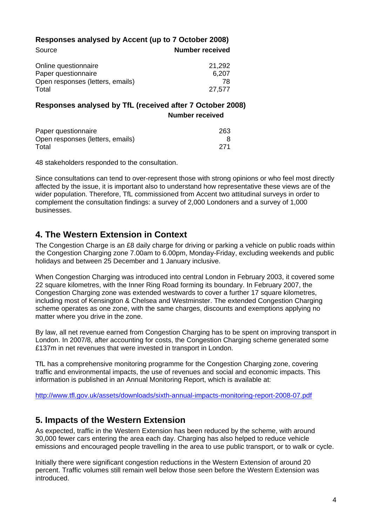|        | Responses analysed by Accent (up to 7 October 2008) |
|--------|-----------------------------------------------------|
| Source | <b>Number received</b>                              |

| Online questionnaire             | 21,292 |
|----------------------------------|--------|
| Paper questionnaire              | 6,207  |
| Open responses (letters, emails) | 78     |
| Total                            | 27,577 |

#### **Responses analysed by TfL (received after 7 October 2008) Number received**

| Paper questionnaire              | 263 |
|----------------------------------|-----|
| Open responses (letters, emails) |     |
| Total                            |     |

48 stakeholders responded to the consultation.

Since consultations can tend to over-represent those with strong opinions or who feel most directly affected by the issue, it is important also to understand how representative these views are of the wider population. Therefore, TfL commissioned from Accent two attitudinal surveys in order to complement the consultation findings: a survey of 2,000 Londoners and a survey of 1,000 businesses.

## **4. The Western Extension in Context**

The Congestion Charge is an £8 daily charge for driving or parking a vehicle on public roads within the Congestion Charging zone 7.00am to 6.00pm, Monday-Friday, excluding weekends and public holidays and between 25 December and 1 January inclusive.

When Congestion Charging was introduced into central London in February 2003, it covered some 22 square kilometres, with the Inner Ring Road forming its boundary. In February 2007, the Congestion Charging zone was extended westwards to cover a further 17 square kilometres, including most of Kensington & Chelsea and Westminster. The extended Congestion Charging scheme operates as one zone, with the same charges, discounts and exemptions applying no matter where you drive in the zone.

By law, all net revenue earned from Congestion Charging has to be spent on improving transport in London. In 2007/8, after accounting for costs, the Congestion Charging scheme generated some £137m in net revenues that were invested in transport in London.

TfL has a comprehensive monitoring programme for the Congestion Charging zone, covering traffic and environmental impacts, the use of revenues and social and economic impacts. This information is published in an Annual Monitoring Report, which is available at:

<http://www.tfl.gov.uk/assets/downloads/sixth-annual-impacts-monitoring-report-2008-07.pdf>

## **5. Impacts of the Western Extension**

As expected, traffic in the Western Extension has been reduced by the scheme, with around 30,000 fewer cars entering the area each day. Charging has also helped to reduce vehicle emissions and encouraged people travelling in the area to use public transport, or to walk or cycle.

Initially there were significant congestion reductions in the Western Extension of around 20 percent. Traffic volumes still remain well below those seen before the Western Extension was introduced.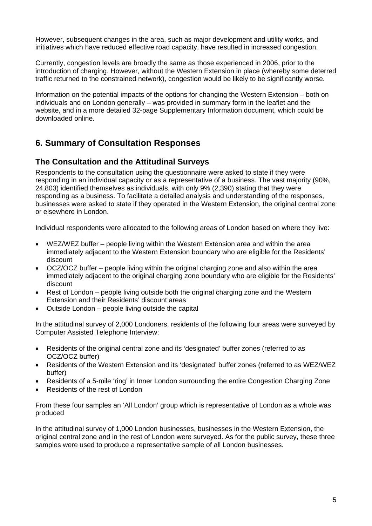However, subsequent changes in the area, such as major development and utility works, and initiatives which have reduced effective road capacity, have resulted in increased congestion.

Currently, congestion levels are broadly the same as those experienced in 2006, prior to the introduction of charging. However, without the Western Extension in place (whereby some deterred traffic returned to the constrained network), congestion would be likely to be significantly worse.

Information on the potential impacts of the options for changing the Western Extension – both on individuals and on London generally – was provided in summary form in the leaflet and the website, and in a more detailed 32-page Supplementary Information document, which could be downloaded online.

## **6. Summary of Consultation Responses**

#### **The Consultation and the Attitudinal Surveys**

Respondents to the consultation using the questionnaire were asked to state if they were responding in an individual capacity or as a representative of a business. The vast majority (90%, 24,803) identified themselves as individuals, with only 9% (2,390) stating that they were responding as a business. To facilitate a detailed analysis and understanding of the responses, businesses were asked to state if they operated in the Western Extension, the original central zone or elsewhere in London.

Individual respondents were allocated to the following areas of London based on where they live:

- WEZ/WEZ buffer people living within the Western Extension area and within the area immediately adjacent to the Western Extension boundary who are eligible for the Residents' discount
- OCZ/OCZ buffer people living within the original charging zone and also within the area immediately adjacent to the original charging zone boundary who are eligible for the Residents' discount
- Rest of London people living outside both the original charging zone and the Western Extension and their Residents' discount areas
- Outside London people living outside the capital

In the attitudinal survey of 2,000 Londoners, residents of the following four areas were surveyed by Computer Assisted Telephone Interview:

- Residents of the original central zone and its 'designated' buffer zones (referred to as OCZ/OCZ buffer)
- Residents of the Western Extension and its 'designated' buffer zones (referred to as WEZ/WEZ buffer)
- Residents of a 5-mile 'ring' in Inner London surrounding the entire Congestion Charging Zone
- Residents of the rest of London

From these four samples an 'All London' group which is representative of London as a whole was produced

In the attitudinal survey of 1,000 London businesses, businesses in the Western Extension, the original central zone and in the rest of London were surveyed. As for the public survey, these three samples were used to produce a representative sample of all London businesses.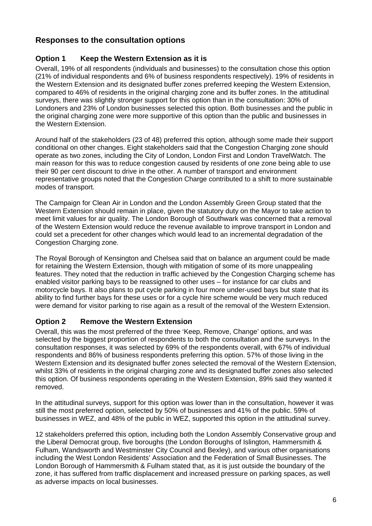## **Responses to the consultation options**

#### **Option 1 Keep the Western Extension as it is**

Overall, 19% of all respondents (individuals and businesses) to the consultation chose this option (21% of individual respondents and 6% of business respondents respectively). 19% of residents in the Western Extension and its designated buffer zones preferred keeping the Western Extension, compared to 46% of residents in the original charging zone and its buffer zones. In the attitudinal surveys, there was slightly stronger support for this option than in the consultation: 30% of Londoners and 23% of London businesses selected this option. Both businesses and the public in the original charging zone were more supportive of this option than the public and businesses in the Western Extension.

Around half of the stakeholders (23 of 48) preferred this option, although some made their support conditional on other changes. Eight stakeholders said that the Congestion Charging zone should operate as two zones, including the City of London, London First and London TravelWatch. The main reason for this was to reduce congestion caused by residents of one zone being able to use their 90 per cent discount to drive in the other. A number of transport and environment representative groups noted that the Congestion Charge contributed to a shift to more sustainable modes of transport.

The Campaign for Clean Air in London and the London Assembly Green Group stated that the Western Extension should remain in place, given the statutory duty on the Mayor to take action to meet limit values for air quality. The London Borough of Southwark was concerned that a removal of the Western Extension would reduce the revenue available to improve transport in London and could set a precedent for other changes which would lead to an incremental degradation of the Congestion Charging zone.

The Royal Borough of Kensington and Chelsea said that on balance an argument could be made for retaining the Western Extension, though with mitigation of some of its more unappealing features. They noted that the reduction in traffic achieved by the Congestion Charging scheme has enabled visitor parking bays to be reassigned to other uses – for instance for car clubs and motorcycle bays. It also plans to put cycle parking in four more under-used bays but state that its ability to find further bays for these uses or for a cycle hire scheme would be very much reduced were demand for visitor parking to rise again as a result of the removal of the Western Extension.

#### **Option 2 Remove the Western Extension**

Overall, this was the most preferred of the three 'Keep, Remove, Change' options, and was selected by the biggest proportion of respondents to both the consultation and the surveys. In the consultation responses, it was selected by 69% of the respondents overall, with 67% of individual respondents and 86% of business respondents preferring this option. 57% of those living in the Western Extension and its designated buffer zones selected the removal of the Western Extension, whilst 33% of residents in the original charging zone and its designated buffer zones also selected this option. Of business respondents operating in the Western Extension, 89% said they wanted it removed.

In the attitudinal surveys, support for this option was lower than in the consultation, however it was still the most preferred option, selected by 50% of businesses and 41% of the public. 59% of businesses in WEZ, and 48% of the public in WEZ, supported this option in the attitudinal survey.

12 stakeholders preferred this option, including both the London Assembly Conservative group and the Liberal Democrat group, five boroughs (the London Boroughs of Islington, Hammersmith & Fulham, Wandsworth and Westminster City Council and Bexley), and various other organisations including the West London Residents' Association and the Federation of Small Businesses. The London Borough of Hammersmith & Fulham stated that, as it is just outside the boundary of the zone, it has suffered from traffic displacement and increased pressure on parking spaces, as well as adverse impacts on local businesses.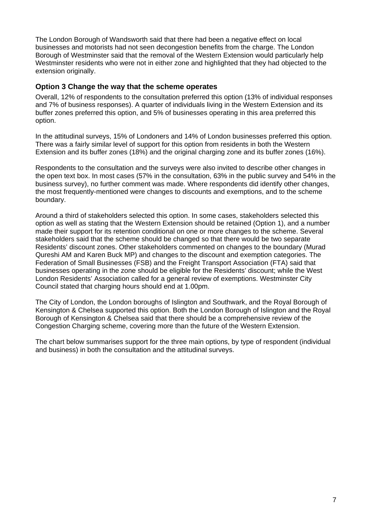The London Borough of Wandsworth said that there had been a negative effect on local businesses and motorists had not seen decongestion benefits from the charge. The London Borough of Westminster said that the removal of the Western Extension would particularly help Westminster residents who were not in either zone and highlighted that they had objected to the extension originally.

#### **Option 3 Change the way that the scheme operates**

Overall, 12% of respondents to the consultation preferred this option (13% of individual responses and 7% of business responses). A quarter of individuals living in the Western Extension and its buffer zones preferred this option, and 5% of businesses operating in this area preferred this option.

In the attitudinal surveys, 15% of Londoners and 14% of London businesses preferred this option. There was a fairly similar level of support for this option from residents in both the Western Extension and its buffer zones (18%) and the original charging zone and its buffer zones (16%).

Respondents to the consultation and the surveys were also invited to describe other changes in the open text box. In most cases (57% in the consultation, 63% in the public survey and 54% in the business survey), no further comment was made. Where respondents did identify other changes, the most frequently-mentioned were changes to discounts and exemptions, and to the scheme boundary.

Around a third of stakeholders selected this option. In some cases, stakeholders selected this option as well as stating that the Western Extension should be retained (Option 1), and a number made their support for its retention conditional on one or more changes to the scheme. Several stakeholders said that the scheme should be changed so that there would be two separate Residents' discount zones. Other stakeholders commented on changes to the boundary (Murad Qureshi AM and Karen Buck MP) and changes to the discount and exemption categories. The Federation of Small Businesses (FSB) and the Freight Transport Association (FTA) said that businesses operating in the zone should be eligible for the Residents' discount; while the West London Residents' Association called for a general review of exemptions. Westminster City Council stated that charging hours should end at 1.00pm.

The City of London, the London boroughs of Islington and Southwark, and the Royal Borough of Kensington & Chelsea supported this option. Both the London Borough of Islington and the Royal Borough of Kensington & Chelsea said that there should be a comprehensive review of the Congestion Charging scheme, covering more than the future of the Western Extension.

The chart below summarises support for the three main options, by type of respondent (individual and business) in both the consultation and the attitudinal surveys.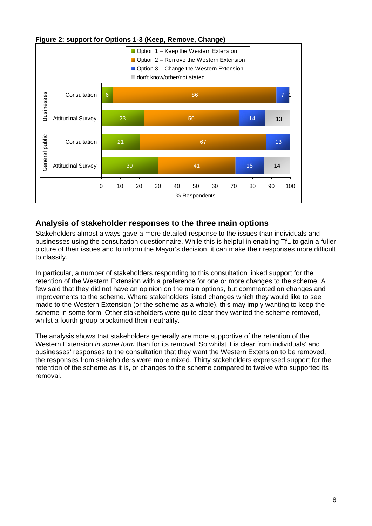

**Figure 2: support for Options 1-3 (Keep, Remove, Change)** 

## **Analysis of stakeholder responses to the three main options**

Stakeholders almost always gave a more detailed response to the issues than individuals and businesses using the consultation questionnaire. While this is helpful in enabling TfL to gain a fuller picture of their issues and to inform the Mayor's decision, it can make their responses more difficult to classify.

In particular, a number of stakeholders responding to this consultation linked support for the retention of the Western Extension with a preference for one or more changes to the scheme. A few said that they did not have an opinion on the main options, but commented on changes and improvements to the scheme. Where stakeholders listed changes which they would like to see made to the Western Extension (or the scheme as a whole), this may imply wanting to keep the scheme in some form. Other stakeholders were quite clear they wanted the scheme removed, whilst a fourth group proclaimed their neutrality.

The analysis shows that stakeholders generally are more supportive of the retention of the Western Extension *in some form* than for its removal. So whilst it is clear from individuals' and businesses' responses to the consultation that they want the Western Extension to be removed, the responses from stakeholders were more mixed. Thirty stakeholders expressed support for the retention of the scheme as it is, or changes to the scheme compared to twelve who supported its removal.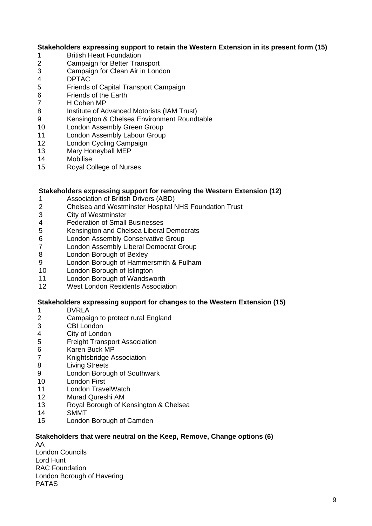#### **Stakeholders expressing support to retain the Western Extension in its present form (15)**

- 1 British Heart Foundation
- 2 Campaign for Better Transport
- 3 Campaign for Clean Air in London
- 4 DPTAC
- 5 Friends of Capital Transport Campaign
- 6 Friends of the Earth
- 7 H Cohen MP
- 8 Institute of Advanced Motorists (IAM Trust)
- 9 Kensington & Chelsea Environment Roundtable
- 10 London Assembly Green Group
- 11 London Assembly Labour Group
- 12 London Cycling Campaign
- 13 Mary Honeyball MEP
- 14 Mobilise
- 15 Royal College of Nurses

#### **Stakeholders expressing support for removing the Western Extension (12)**

- 1 **Association of British Drivers (ABD)**<br>2 Chelsea and Westminster Hospital N
- 2 Chelsea and Westminster Hospital NHS Foundation Trust
- 3 City of Westminster
- 4 Federation of Small Businesses
- 5 Kensington and Chelsea Liberal Democrats
- 6 London Assembly Conservative Group
- 7 London Assembly Liberal Democrat Group
- 8 London Borough of Bexley
- 9 London Borough of Hammersmith & Fulham
- 10 London Borough of Islington
- 11 London Borough of Wandsworth
- 12 West London Residents Association

#### **Stakeholders expressing support for changes to the Western Extension (15)**

- 1 BVRLA
- 2 Campaign to protect rural England
- 3 CBI London
- 4 City of London
- 5 Freight Transport Association
- 6 Karen Buck MP
- 7 Knightsbridge Association<br>8 Living Streets
- **Living Streets**
- 9 London Borough of Southwark
- 10 London First
- 11 London TravelWatch
- 12 Murad Qureshi AM
- 13 Royal Borough of Kensington & Chelsea
- 14 SMMT
- 15 London Borough of Camden

#### **Stakeholders that were neutral on the Keep, Remove, Change options (6)**

AA London Councils Lord Hunt RAC Foundation London Borough of Havering PATAS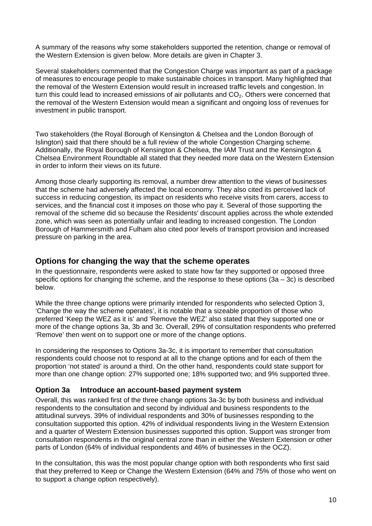A summary of the reasons why some stakeholders supported the retention, change or removal of the Western Extension is given below. More details are given in Chapter 3.

Several stakeholders commented that the Congestion Charge was important as part of a package of measures to encourage people to make sustainable choices in transport. Many highlighted that the removal of the Western Extension would result in increased traffic levels and congestion. In turn this could lead to increased emissions of air pollutants and  $CO<sub>2</sub>$ . Others were concerned that the removal of the Western Extension would mean a significant and ongoing loss of revenues for investment in public transport.

Two stakeholders (the Royal Borough of Kensington & Chelsea and the London Borough of Islington) said that there should be a full review of the whole Congestion Charging scheme. Additionally, the Royal Borough of Kensington & Chelsea, the IAM Trust and the Kensington & Chelsea Environment Roundtable all stated that they needed more data on the Western Extension in order to inform their views on its future.

Among those clearly supporting its removal, a number drew attention to the views of businesses that the scheme had adversely affected the local economy. They also cited its perceived lack of success in reducing congestion, its impact on residents who receive visits from carers, access to services, and the financial cost it imposes on those who pay it. Several of those supporting the removal of the scheme did so because the Residents' discount applies across the whole extended zone, which was seen as potentially unfair and leading to increased congestion. The London Borough of Hammersmith and Fulham also cited poor levels of transport provision and increased pressure on parking in the area.

#### **Options for changing the way that the scheme operates**

In the questionnaire, respondents were asked to state how far they supported or opposed three specific options for changing the scheme, and the response to these options  $(3a - 3c)$  is described below.

While the three change options were primarily intended for respondents who selected Option 3, 'Change the way the scheme operates', it is notable that a sizeable proportion of those who preferred 'Keep the WEZ as it is' and 'Remove the WEZ' also stated that they supported one or more of the change options 3a, 3b and 3c. Overall, 29% of consultation respondents who preferred 'Remove' then went on to support one or more of the change options.

In considering the responses to Options 3a-3c, it is important to remember that consultation respondents could choose not to respond at all to the change options and for each of them the proportion 'not stated' is around a third. On the other hand, respondents could state support for more than one change option: 27% supported one; 18% supported two; and 9% supported three.

#### **Option 3a Introduce an account-based payment system**

Overall, this was ranked first of the three change options 3a-3c by both business and individual respondents to the consultation and second by individual and business respondents to the attitudinal surveys. 39% of individual respondents and 30% of businesses responding to the consultation supported this option. 42% of individual respondents living in the Western Extension and a quarter of Western Extension businesses supported this option. Support was stronger from consultation respondents in the original central zone than in either the Western Extension or other parts of London (64% of individual respondents and 46% of businesses in the OCZ).

In the consultation, this was the most popular change option with both respondents who first said that they preferred to Keep or Change the Western Extension (64% and 75% of those who went on to support a change option respectively).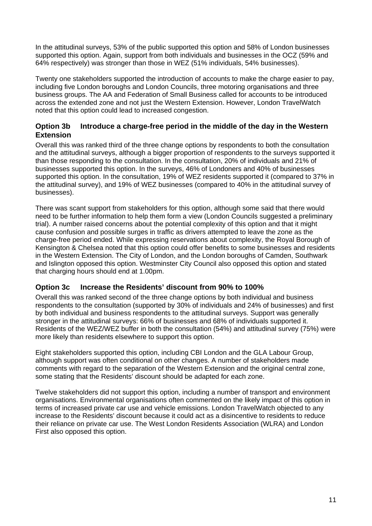In the attitudinal surveys, 53% of the public supported this option and 58% of London businesses supported this option. Again, support from both individuals and businesses in the OCZ (59% and 64% respectively) was stronger than those in WEZ (51% individuals, 54% businesses).

Twenty one stakeholders supported the introduction of accounts to make the charge easier to pay, including five London boroughs and London Councils, three motoring organisations and three business groups. The AA and Federation of Small Business called for accounts to be introduced across the extended zone and not just the Western Extension. However, London TravelWatch noted that this option could lead to increased congestion.

#### **Option 3b Introduce a charge-free period in the middle of the day in the Western Extension**

Overall this was ranked third of the three change options by respondents to both the consultation and the attitudinal surveys, although a bigger proportion of respondents to the surveys supported it than those responding to the consultation. In the consultation, 20% of individuals and 21% of businesses supported this option. In the surveys, 46% of Londoners and 40% of businesses supported this option. In the consultation, 19% of WEZ residents supported it (compared to 37% in the attitudinal survey), and 19% of WEZ businesses (compared to 40% in the attitudinal survey of businesses).

There was scant support from stakeholders for this option, although some said that there would need to be further information to help them form a view (London Councils suggested a preliminary trial). A number raised concerns about the potential complexity of this option and that it might cause confusion and possible surges in traffic as drivers attempted to leave the zone as the charge-free period ended. While expressing reservations about complexity, the Royal Borough of Kensington & Chelsea noted that this option could offer benefits to some businesses and residents in the Western Extension. The City of London, and the London boroughs of Camden, Southwark and Islington opposed this option. Westminster City Council also opposed this option and stated that charging hours should end at 1.00pm.

#### **Option 3c Increase the Residents' discount from 90% to 100%**

Overall this was ranked second of the three change options by both individual and business respondents to the consultation (supported by 30% of individuals and 24% of businesses) and first by both individual and business respondents to the attitudinal surveys. Support was generally stronger in the attitudinal surveys: 66% of businesses and 68% of individuals supported it. Residents of the WEZ/WEZ buffer in both the consultation (54%) and attitudinal survey (75%) were more likely than residents elsewhere to support this option.

Eight stakeholders supported this option, including CBI London and the GLA Labour Group, although support was often conditional on other changes. A number of stakeholders made comments with regard to the separation of the Western Extension and the original central zone, some stating that the Residents' discount should be adapted for each zone.

Twelve stakeholders did not support this option, including a number of transport and environment organisations. Environmental organisations often commented on the likely impact of this option in terms of increased private car use and vehicle emissions. London TravelWatch objected to any increase to the Residents' discount because it could act as a disincentive to residents to reduce their reliance on private car use. The West London Residents Association (WLRA) and London First also opposed this option.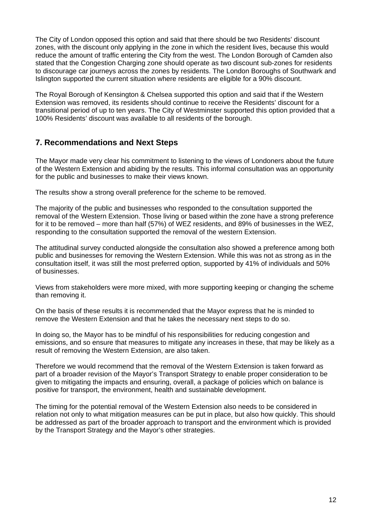The City of London opposed this option and said that there should be two Residents' discount zones, with the discount only applying in the zone in which the resident lives, because this would reduce the amount of traffic entering the City from the west. The London Borough of Camden also stated that the Congestion Charging zone should operate as two discount sub-zones for residents to discourage car journeys across the zones by residents. The London Boroughs of Southwark and Islington supported the current situation where residents are eligible for a 90% discount.

The Royal Borough of Kensington & Chelsea supported this option and said that if the Western Extension was removed, its residents should continue to receive the Residents' discount for a transitional period of up to ten years. The City of Westminster supported this option provided that a 100% Residents' discount was available to all residents of the borough.

## **7. Recommendations and Next Steps**

The Mayor made very clear his commitment to listening to the views of Londoners about the future of the Western Extension and abiding by the results. This informal consultation was an opportunity for the public and businesses to make their views known.

The results show a strong overall preference for the scheme to be removed.

The majority of the public and businesses who responded to the consultation supported the removal of the Western Extension. Those living or based within the zone have a strong preference for it to be removed – more than half (57%) of WEZ residents, and 89% of businesses in the WEZ, responding to the consultation supported the removal of the western Extension.

The attitudinal survey conducted alongside the consultation also showed a preference among both public and businesses for removing the Western Extension. While this was not as strong as in the consultation itself, it was still the most preferred option, supported by 41% of individuals and 50% of businesses.

Views from stakeholders were more mixed, with more supporting keeping or changing the scheme than removing it.

On the basis of these results it is recommended that the Mayor express that he is minded to remove the Western Extension and that he takes the necessary next steps to do so.

In doing so, the Mayor has to be mindful of his responsibilities for reducing congestion and emissions, and so ensure that measures to mitigate any increases in these, that may be likely as a result of removing the Western Extension, are also taken.

Therefore we would recommend that the removal of the Western Extension is taken forward as part of a broader revision of the Mayor's Transport Strategy to enable proper consideration to be given to mitigating the impacts and ensuring, overall, a package of policies which on balance is positive for transport, the environment, health and sustainable development.

The timing for the potential removal of the Western Extension also needs to be considered in relation not only to what mitigation measures can be put in place, but also how quickly. This should be addressed as part of the broader approach to transport and the environment which is provided by the Transport Strategy and the Mayor's other strategies.